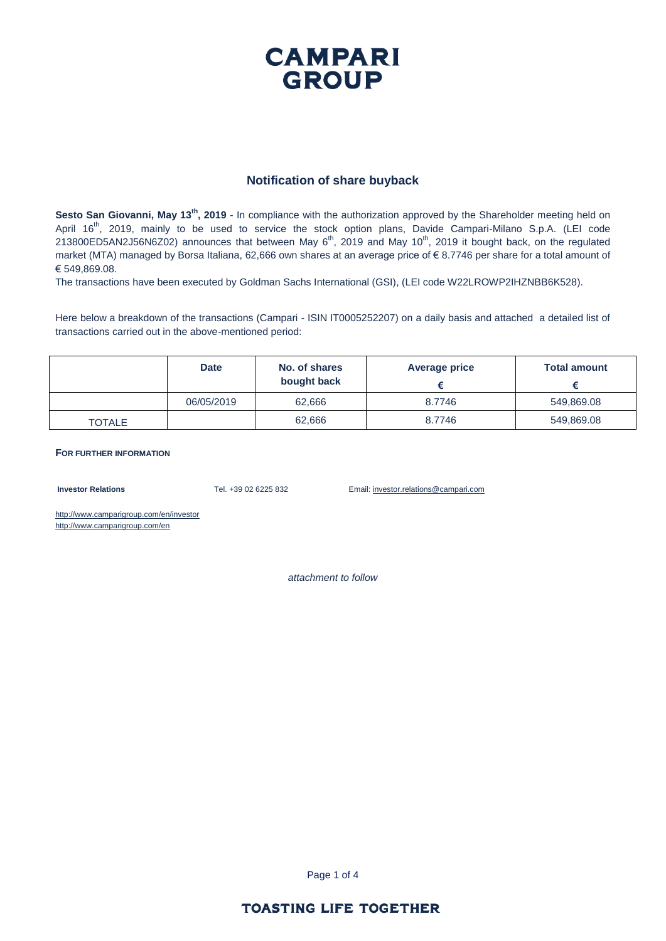## **CAMPARI GROUP**

#### **Notification of share buyback**

**Sesto San Giovanni, May 13th, 2019** - In compliance with the authorization approved by the Shareholder meeting held on April 16<sup>th</sup>, 2019, mainly to be used to service the stock option plans, Davide Campari-Milano S.p.A. (LEI code 213800ED5AN2J56N6Z02) announces that between May  $6<sup>th</sup>$ , 2019 and May 10<sup>th</sup>, 2019 it bought back, on the regulated market (MTA) managed by Borsa Italiana, 62,666 own shares at an average price of € 8.7746 per share for a total amount of € 549,869.08.

The transactions have been executed by Goldman Sachs International (GSI), (LEI code W22LROWP2IHZNBB6K528).

Here below a breakdown of the transactions (Campari - ISIN IT0005252207) on a daily basis and attached a detailed list of transactions carried out in the above-mentioned period:

|               | <b>Date</b> | No. of shares<br>bought back | Average price | <b>Total amount</b> |
|---------------|-------------|------------------------------|---------------|---------------------|
|               | 06/05/2019  | 62.666                       | 8.7746        | 549,869.08          |
| <b>TOTALE</b> |             | 62.666                       | 8.7746        | 549,869.08          |

**FOR FURTHER INFORMATION**

**Investor Relations** Tel. +39 02 6225 832 Email: investor.relations@campari.com

http://www.camparigroup.com/en/investor http://www.camparigroup.com/en

*attachment to follow*

Page 1 of 4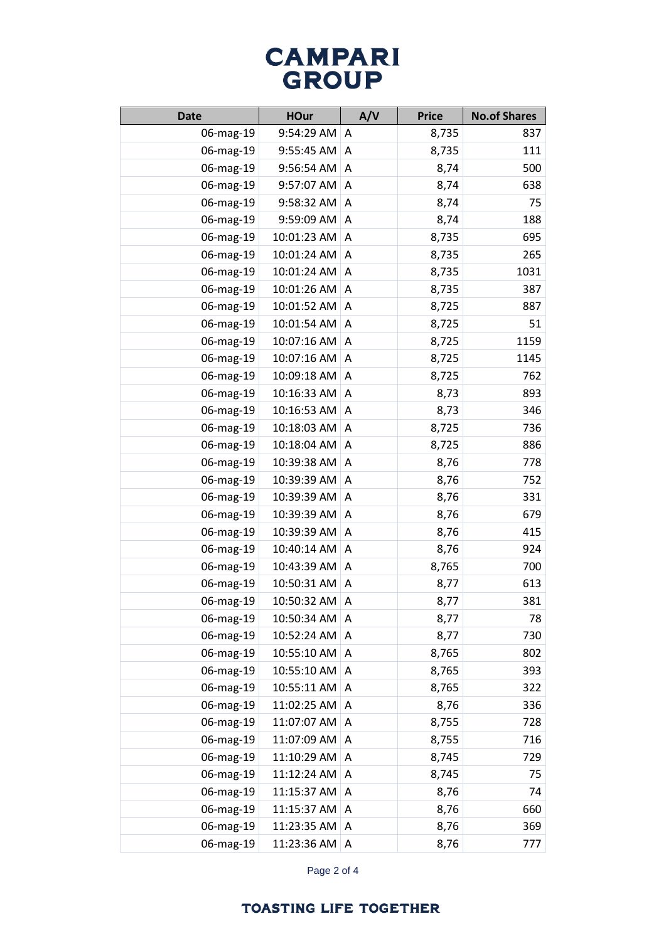# **CAMPARI**<br>GROUP

| <b>Date</b> | <b>HOur</b> | A/V | <b>Price</b> | <b>No.of Shares</b> |
|-------------|-------------|-----|--------------|---------------------|
| 06-mag-19   | 9:54:29 AM  | A   | 8,735        | 837                 |
| 06-mag-19   | 9:55:45 AM  | A   | 8,735        | 111                 |
| 06-mag-19   | 9:56:54 AM  | A   | 8,74         | 500                 |
| 06-mag-19   | 9:57:07 AM  | A   | 8,74         | 638                 |
| 06-mag-19   | 9:58:32 AM  | A   | 8,74         | 75                  |
| 06-mag-19   | 9:59:09 AM  | A   | 8,74         | 188                 |
| 06-mag-19   | 10:01:23 AM | Α   | 8,735        | 695                 |
| 06-mag-19   | 10:01:24 AM | A   | 8,735        | 265                 |
| 06-mag-19   | 10:01:24 AM | A   | 8,735        | 1031                |
| 06-mag-19   | 10:01:26 AM | A   | 8,735        | 387                 |
| 06-mag-19   | 10:01:52 AM | A   | 8,725        | 887                 |
| 06-mag-19   | 10:01:54 AM | A   | 8,725        | 51                  |
| 06-mag-19   | 10:07:16 AM | A   | 8,725        | 1159                |
| 06-mag-19   | 10:07:16 AM | A   | 8,725        | 1145                |
| 06-mag-19   | 10:09:18 AM | A   | 8,725        | 762                 |
| 06-mag-19   | 10:16:33 AM | A   | 8,73         | 893                 |
| 06-mag-19   | 10:16:53 AM | A   | 8,73         | 346                 |
| 06-mag-19   | 10:18:03 AM | A   | 8,725        | 736                 |
| 06-mag-19   | 10:18:04 AM | Α   | 8,725        | 886                 |
| 06-mag-19   | 10:39:38 AM | A   | 8,76         | 778                 |
| 06-mag-19   | 10:39:39 AM | A   | 8,76         | 752                 |
| 06-mag-19   | 10:39:39 AM | A   | 8,76         | 331                 |
| 06-mag-19   | 10:39:39 AM | A   | 8,76         | 679                 |
| 06-mag-19   | 10:39:39 AM | Α   | 8,76         | 415                 |
| 06-mag-19   | 10:40:14 AM | A   | 8,76         | 924                 |
| 06-mag-19   | 10:43:39 AM | A   | 8,765        | 700                 |
| 06-mag-19   | 10:50:31 AM | A   | 8,77         | 613                 |
| 06-mag-19   | 10:50:32 AM | Α   | 8,77         | 381                 |
| 06-mag-19   | 10:50:34 AM | A   | 8,77         | 78                  |
| 06-mag-19   | 10:52:24 AM | Α   | 8,77         | 730                 |
| 06-mag-19   | 10:55:10 AM | Α   | 8,765        | 802                 |
| 06-mag-19   | 10:55:10 AM | A   | 8,765        | 393                 |
| 06-mag-19   | 10:55:11 AM | A   | 8,765        | 322                 |
| 06-mag-19   | 11:02:25 AM | A   | 8,76         | 336                 |
| 06-mag-19   | 11:07:07 AM | A   | 8,755        | 728                 |
| 06-mag-19   | 11:07:09 AM | Α   | 8,755        | 716                 |
| 06-mag-19   | 11:10:29 AM | A   | 8,745        | 729                 |
| 06-mag-19   | 11:12:24 AM | Α   | 8,745        | 75                  |
| 06-mag-19   | 11:15:37 AM | A   | 8,76         | 74                  |
| 06-mag-19   | 11:15:37 AM | A   | 8,76         | 660                 |
| 06-mag-19   | 11:23:35 AM | A   | 8,76         | 369                 |
| 06-mag-19   | 11:23:36 AM | A   | 8,76         | 777                 |

Page 2 of 4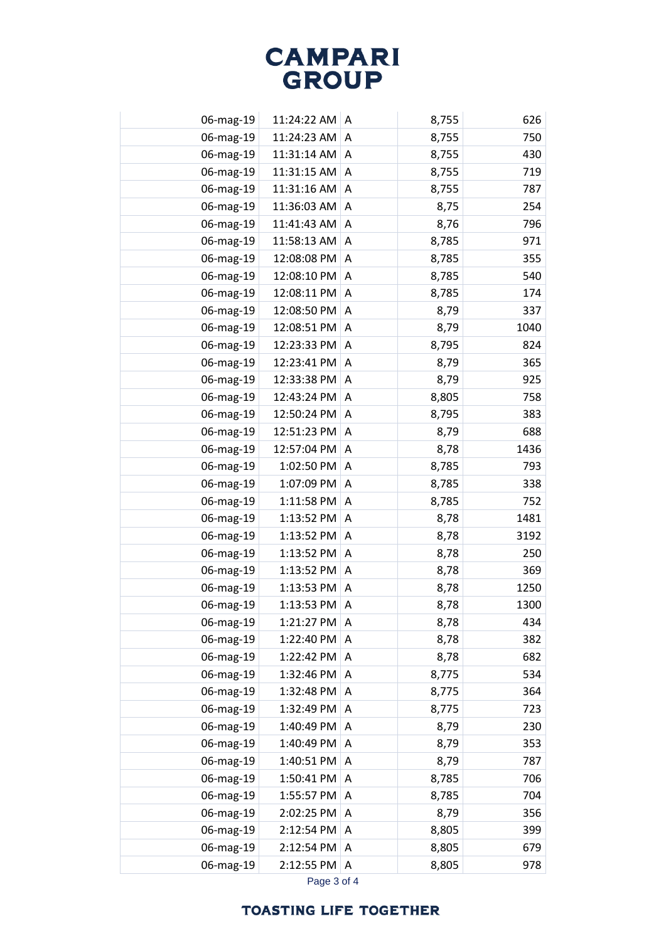# **CAMPARI**<br>GROUP

| 06-mag-19 | 11:24:22 AM  | A | 8,755 | 626  |
|-----------|--------------|---|-------|------|
| 06-mag-19 | 11:24:23 AM  | A | 8,755 | 750  |
| 06-mag-19 | 11:31:14 AM  | A | 8,755 | 430  |
| 06-mag-19 | 11:31:15 AM  | A | 8,755 | 719  |
| 06-mag-19 | 11:31:16 AM  | A | 8,755 | 787  |
| 06-mag-19 | 11:36:03 AM  | A | 8,75  | 254  |
| 06-mag-19 | 11:41:43 AM  | A | 8,76  | 796  |
| 06-mag-19 | 11:58:13 AM  | A | 8,785 | 971  |
| 06-mag-19 | 12:08:08 PM  | A | 8,785 | 355  |
| 06-mag-19 | 12:08:10 PM  | A | 8,785 | 540  |
| 06-mag-19 | 12:08:11 PM  | A | 8,785 | 174  |
| 06-mag-19 | 12:08:50 PM  | A | 8,79  | 337  |
| 06-mag-19 | 12:08:51 PM  | A | 8,79  | 1040 |
| 06-mag-19 | 12:23:33 PM  | A | 8,795 | 824  |
| 06-mag-19 | 12:23:41 PM  | A | 8,79  | 365  |
| 06-mag-19 | 12:33:38 PM  | A | 8,79  | 925  |
| 06-mag-19 | 12:43:24 PM  | A | 8,805 | 758  |
| 06-mag-19 | 12:50:24 PM  | A | 8,795 | 383  |
| 06-mag-19 | 12:51:23 PM  | A | 8,79  | 688  |
| 06-mag-19 | 12:57:04 PM  | A | 8,78  | 1436 |
| 06-mag-19 | 1:02:50 PM   | Α | 8,785 | 793  |
| 06-mag-19 | 1:07:09 PM   | A | 8,785 | 338  |
| 06-mag-19 | 1:11:58 PM   | A | 8,785 | 752  |
| 06-mag-19 | 1:13:52 PM   | Α | 8,78  | 1481 |
| 06-mag-19 | 1:13:52 PM   | A | 8,78  | 3192 |
| 06-mag-19 | 1:13:52 PM   | A | 8,78  | 250  |
| 06-mag-19 | 1:13:52 PM   | A | 8,78  | 369  |
| 06-mag-19 | 1:13:53 PM   | A | 8,78  | 1250 |
| 06-mag-19 | $1:13:53$ PM | A | 8,78  | 1300 |
| 06-mag-19 | 1:21:27 PM   | Α | 8,78  | 434  |
| 06-mag-19 | 1:22:40 PM   | A | 8,78  | 382  |
| 06-mag-19 | 1:22:42 PM   | A | 8,78  | 682  |
| 06-mag-19 | 1:32:46 PM   | A | 8,775 | 534  |
| 06-mag-19 | 1:32:48 PM   | A | 8,775 | 364  |
| 06-mag-19 | 1:32:49 PM   | A | 8,775 | 723  |
| 06-mag-19 | 1:40:49 PM   | Α | 8,79  | 230  |
| 06-mag-19 | 1:40:49 PM   | A | 8,79  | 353  |
| 06-mag-19 | 1:40:51 PM   | A | 8,79  | 787  |
| 06-mag-19 | 1:50:41 PM   | A | 8,785 | 706  |
| 06-mag-19 | 1:55:57 PM   | A | 8,785 | 704  |
| 06-mag-19 | 2:02:25 PM   | A | 8,79  | 356  |
| 06-mag-19 | 2:12:54 PM   | A | 8,805 | 399  |
| 06-mag-19 | 2:12:54 PM   | Α | 8,805 | 679  |
| 06-mag-19 | 2:12:55 PM   | A | 8,805 | 978  |
|           |              |   |       |      |

Page 3 of 4